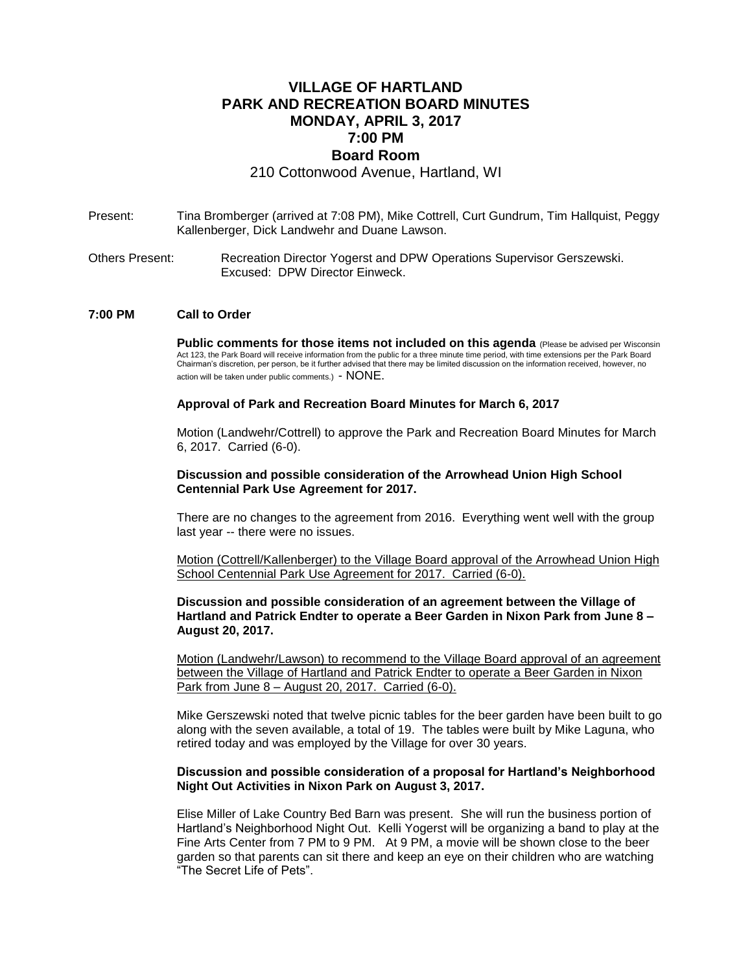# **VILLAGE OF HARTLAND PARK AND RECREATION BOARD MINUTES MONDAY, APRIL 3, 2017 7:00 PM Board Room**

210 Cottonwood Avenue, Hartland, WI

- Present: Tina Bromberger (arrived at 7:08 PM), Mike Cottrell, Curt Gundrum, Tim Hallquist, Peggy Kallenberger, Dick Landwehr and Duane Lawson.
- Others Present: Recreation Director Yogerst and DPW Operations Supervisor Gerszewski. Excused: DPW Director Einweck.

### **7:00 PM Call to Order**

**Public comments for those items not included on this agenda** (Please be advised per Wisconsin Act 123, the Park Board will receive information from the public for a three minute time period, with time extensions per the Park Board Chairman's discretion, per person, be it further advised that there may be limited discussion on the information received, however, no action will be taken under public comments.) - NONE.

#### **Approval of Park and Recreation Board Minutes for March 6, 2017**

Motion (Landwehr/Cottrell) to approve the Park and Recreation Board Minutes for March 6, 2017. Carried (6-0).

### **Discussion and possible consideration of the Arrowhead Union High School Centennial Park Use Agreement for 2017.**

There are no changes to the agreement from 2016. Everything went well with the group last year -- there were no issues.

Motion (Cottrell/Kallenberger) to the Village Board approval of the Arrowhead Union High School Centennial Park Use Agreement for 2017. Carried (6-0).

**Discussion and possible consideration of an agreement between the Village of Hartland and Patrick Endter to operate a Beer Garden in Nixon Park from June 8 – August 20, 2017.**

Motion (Landwehr/Lawson) to recommend to the Village Board approval of an agreement between the Village of Hartland and Patrick Endter to operate a Beer Garden in Nixon Park from June 8 – August 20, 2017. Carried (6-0).

Mike Gerszewski noted that twelve picnic tables for the beer garden have been built to go along with the seven available, a total of 19. The tables were built by Mike Laguna, who retired today and was employed by the Village for over 30 years.

### **Discussion and possible consideration of a proposal for Hartland's Neighborhood Night Out Activities in Nixon Park on August 3, 2017.**

Elise Miller of Lake Country Bed Barn was present. She will run the business portion of Hartland's Neighborhood Night Out. Kelli Yogerst will be organizing a band to play at the Fine Arts Center from 7 PM to 9 PM. At 9 PM, a movie will be shown close to the beer garden so that parents can sit there and keep an eye on their children who are watching "The Secret Life of Pets".